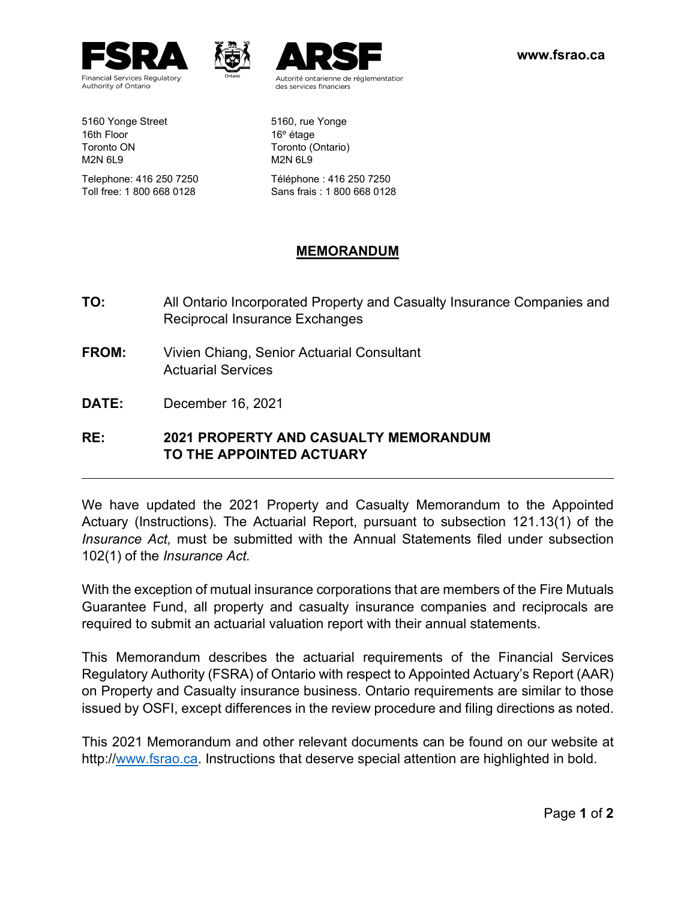





Autorité ontarienne de réglementation des services financiers

Telephone: 416 250 7250 Téléphone : 416 250 7250 Toll free: 1 800 668 0128 Sans frais : 1 800 668 0128

## **MEMORANDUM**

- **TO:** All Ontario Incorporated Property and Casualty Insurance Companies and Reciprocal Insurance Exchanges
- **FROM:** Vivien Chiang, Senior Actuarial Consultant Actuarial Services
- **DATE:** December 16, 2021

## **RE: 2021 PROPERTY AND CASUALTY MEMORANDUM TO THE APPOINTED ACTUARY**

We have updated the 2021 Property and Casualty Memorandum to the Appointed Actuary (Instructions). The Actuarial Report, pursuant to subsection 121.13(1) of the *Insurance Act,* must be submitted with the Annual Statements filed under subsection 102(1) of the *Insurance Act.*

With the exception of mutual insurance corporations that are members of the Fire Mutuals Guarantee Fund, all property and casualty insurance companies and reciprocals are required to submit an actuarial valuation report with their annual statements.

This Memorandum describes the actuarial requirements of the Financial Services Regulatory Authority (FSRA) of Ontario with respect to Appointed Actuary's Report (AAR) on Property and Casualty insurance business. Ontario requirements are similar to those issued by OSFI, except differences in the review procedure and filing directions as noted.

This 2021 Memorandum and other relevant documents can be found on our website at http:/[/www.fsrao.ca.](http://www.fsrao.ca/) Instructions that deserve special attention are highlighted in bold.